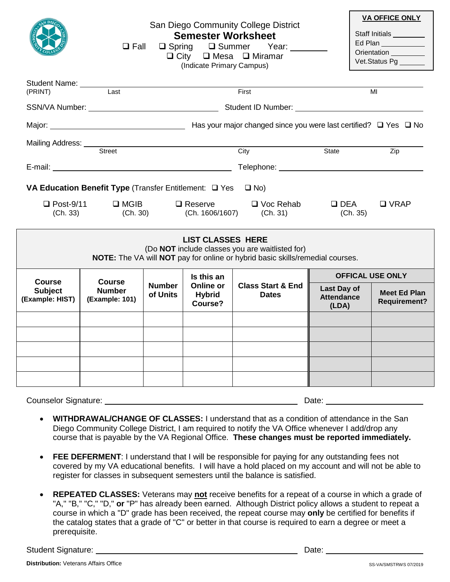|                                                                                                                                                              | $\square$ Fall                                   |                           | <b>Semester Worksheet</b><br>(Indicate Primary Campus) | San Diego Community College District<br>□ Spring □ Summer Year:<br>$\Box$ City $\Box$ Mesa $\Box$ Miramar |                                           | <b>VA OFFICE ONLY</b><br>Staff Initials ________<br>Ed Plan<br>Orientation <sub>___________</sub><br>Vet.Status Pg ______ |  |
|--------------------------------------------------------------------------------------------------------------------------------------------------------------|--------------------------------------------------|---------------------------|--------------------------------------------------------|-----------------------------------------------------------------------------------------------------------|-------------------------------------------|---------------------------------------------------------------------------------------------------------------------------|--|
| Student Name: ___________<br>(PRINT)                                                                                                                         | Last                                             |                           |                                                        | First                                                                                                     |                                           | MI                                                                                                                        |  |
|                                                                                                                                                              |                                                  |                           |                                                        |                                                                                                           |                                           |                                                                                                                           |  |
|                                                                                                                                                              |                                                  |                           |                                                        |                                                                                                           |                                           |                                                                                                                           |  |
|                                                                                                                                                              | Mailing Address:<br>Street                       |                           |                                                        | City                                                                                                      | State                                     | Zip                                                                                                                       |  |
|                                                                                                                                                              |                                                  |                           |                                                        |                                                                                                           |                                           |                                                                                                                           |  |
| VA Education Benefit Type (Transfer Entitlement: $\Box$ Yes $\Box$ No)                                                                                       |                                                  |                           |                                                        |                                                                                                           |                                           |                                                                                                                           |  |
| (Ch. 33)                                                                                                                                                     | $\Box$ Post-9/11 $\Box$ MGIB<br>(Ch. 30)         |                           |                                                        | $\Box$ Reserve $\Box$ Voc Rehab<br>(Ch. 1606/1607) (Ch. 31)                                               | $\Box$ DEA<br>(Ch. 35)                    | $\Box$ VRAP                                                                                                               |  |
| <b>LIST CLASSES HERE</b><br>(Do NOT include classes you are waitlisted for)<br>NOTE: The VA will NOT pay for online or hybrid basic skills/remedial courses. |                                                  |                           |                                                        |                                                                                                           |                                           |                                                                                                                           |  |
| <b>Course</b><br><b>Subject</b><br>(Example: HIST)                                                                                                           | <b>Course</b><br><b>Number</b><br>(Example: 101) | <b>Number</b><br>of Units | Is this an<br>Online or<br>Hybrid<br>Course?           | <b>Class Start &amp; End</b><br><b>Dates</b>                                                              | <b>OFFICAL USE ONLY</b>                   |                                                                                                                           |  |
|                                                                                                                                                              |                                                  |                           |                                                        |                                                                                                           | Last Day of<br><b>Attendance</b><br>(LDA) | <b>Meet Ed Plan</b><br><b>Requirement?</b>                                                                                |  |
|                                                                                                                                                              |                                                  |                           |                                                        |                                                                                                           |                                           |                                                                                                                           |  |
|                                                                                                                                                              |                                                  |                           |                                                        |                                                                                                           |                                           |                                                                                                                           |  |
|                                                                                                                                                              |                                                  |                           |                                                        |                                                                                                           |                                           |                                                                                                                           |  |
|                                                                                                                                                              |                                                  |                           |                                                        |                                                                                                           |                                           |                                                                                                                           |  |
|                                                                                                                                                              |                                                  |                           |                                                        |                                                                                                           |                                           |                                                                                                                           |  |
| <b>Counselor Signature:</b><br>Date:                                                                                                                         |                                                  |                           |                                                        |                                                                                                           |                                           |                                                                                                                           |  |

- **WITHDRAWAL/CHANGE OF CLASSES:** I understand that as a condition of attendance in the San Diego Community College District, I am required to notify the VA Office whenever I add/drop any course that is payable by the VA Regional Office. **These changes must be reported immediately.**
- **FEE DEFERMENT**: I understand that I will be responsible for paying for any outstanding fees not covered by my VA educational benefits. I will have a hold placed on my account and will not be able to register for classes in subsequent semesters until the balance is satisfied.
- **REPEATED CLASSES:** Veterans may **not** receive benefits for a repeat of a course in which a grade of "A," "B," "C," "D," **or** "P" has already been earned. Although District policy allows a student to repeat a course in which a "D" grade has been received, the repeat course may **only** be certified for benefits if the catalog states that a grade of "C" or better in that course is required to earn a degree or meet a prerequisite.

Student Signature: Date: Date: Date: Date: Date: Date: Date: Date: Date: Date: Date: Date: Date: Date: Date: Date: Date: Date: Date: Date: Date: Date: Date: Date: Date: Date: Date: Date: Date: Date: Date: Date: Date: Date: